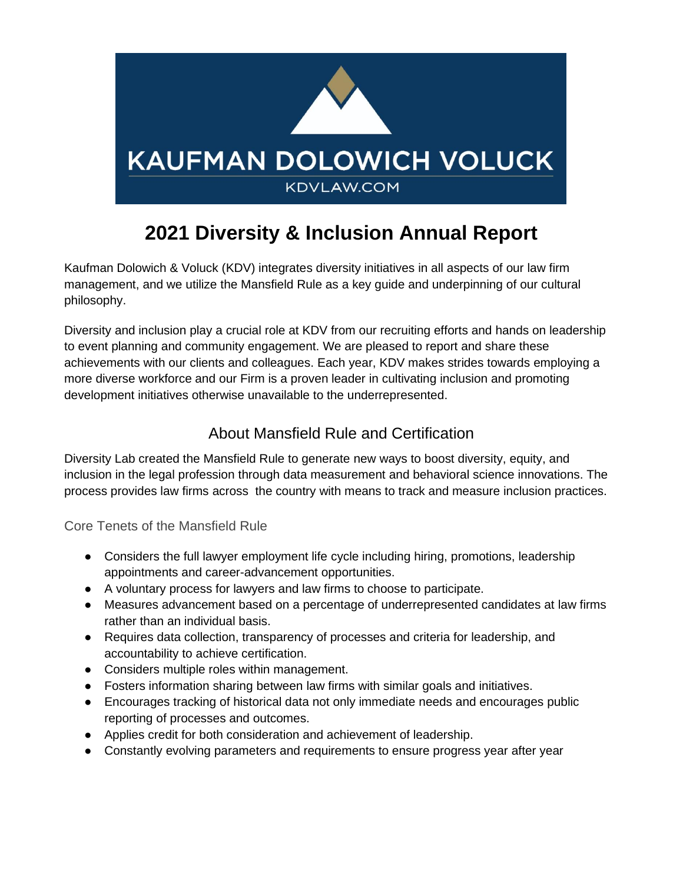

# **2021 Diversity & Inclusion Annual Report**

Kaufman Dolowich & Voluck (KDV) integrates diversity initiatives in all aspects of our law firm management, and we utilize the Mansfield Rule as a key guide and underpinning of our cultural philosophy.

Diversity and inclusion play a crucial role at KDV from our recruiting efforts and hands on leadership to event planning and community engagement. We are pleased to report and share these achievements with our clients and colleagues. Each year, KDV makes strides towards employing a more diverse workforce and our Firm is a proven leader in cultivating inclusion and promoting development initiatives otherwise unavailable to the underrepresented.

# About Mansfield Rule and Certification

Diversity Lab created the Mansfield Rule to generate new ways to boost diversity, equity, and inclusion in the legal profession through data measurement and behavioral science innovations. The process provides law firms across the country with means to track and measure inclusion practices.

Core Tenets of the Mansfield Rule

- Considers the full lawyer employment life cycle including hiring, promotions, leadership appointments and career-advancement opportunities.
- A voluntary process for lawyers and law firms to choose to participate.
- Measures advancement based on a percentage of underrepresented candidates at law firms rather than an individual basis.
- Requires data collection, transparency of processes and criteria for leadership, and accountability to achieve certification.
- Considers multiple roles within management.
- Fosters information sharing between law firms with similar goals and initiatives.
- Encourages tracking of historical data not only immediate needs and encourages public reporting of processes and outcomes.
- Applies credit for both consideration and achievement of leadership.
- Constantly evolving parameters and requirements to ensure progress year after year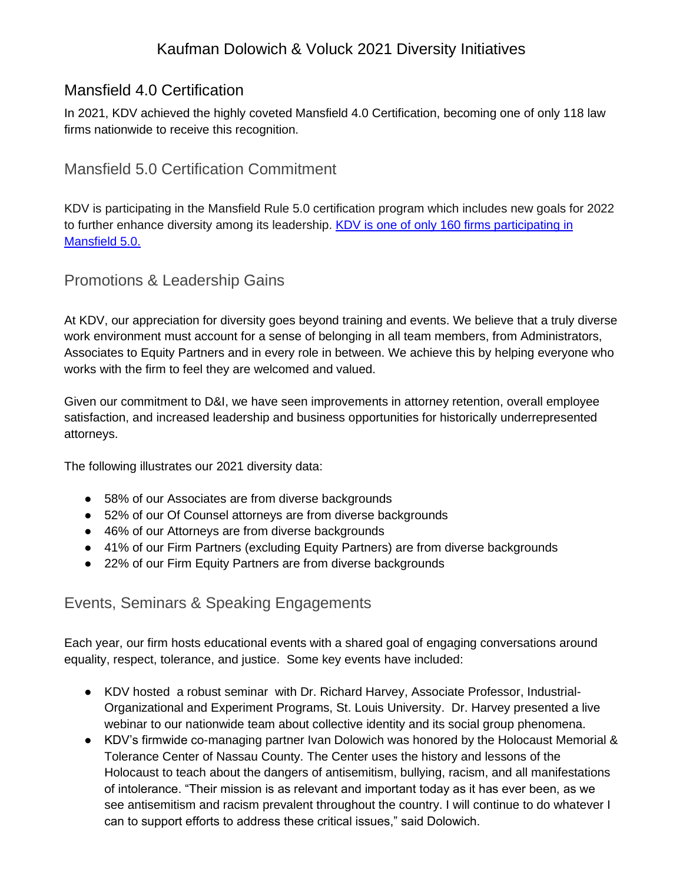## Kaufman Dolowich & Voluck 2021 Diversity Initiatives

## Mansfield 4.0 Certification

In 2021, KDV achieved the highly coveted Mansfield 4.0 Certification, becoming one of only 118 law firms nationwide to receive this recognition.

#### Mansfield 5.0 Certification Commitment

KDV is participating in the Mansfield Rule 5.0 certification program which includes new goals for 2022 to further enhance diversity among its leadership. KDV is one of only 160 firms participating in [Mansfield 5.0.](https://www.kdvlaw.com/news-resources/kaufman-dolowich-commits-to-mansfield-rule-5-0-which-expands-diversity-inclusion-goals/)

#### Promotions & Leadership Gains

At KDV, our appreciation for diversity goes beyond training and events. We believe that a truly diverse work environment must account for a sense of belonging in all team members, from Administrators, Associates to Equity Partners and in every role in between. We achieve this by helping everyone who works with the firm to feel they are welcomed and valued.

Given our commitment to D&I, we have seen improvements in attorney retention, overall employee satisfaction, and increased leadership and business opportunities for historically underrepresented attorneys.

The following illustrates our 2021 diversity data:

- 58% of our Associates are from diverse backgrounds
- 52% of our Of Counsel attorneys are from diverse backgrounds
- 46% of our Attorneys are from diverse backgrounds
- 41% of our Firm Partners (excluding Equity Partners) are from diverse backgrounds
- 22% of our Firm Equity Partners are from diverse backgrounds

## Events, Seminars & Speaking Engagements

Each year, our firm hosts educational events with a shared goal of engaging conversations around equality, respect, tolerance, and justice. Some key events have included:

- KDV hosted a robust seminar with Dr. Richard Harvey, Associate Professor, Industrial-Organizational and Experiment Programs, St. Louis University. Dr. Harvey presented a live webinar to our nationwide team about collective identity and its social group phenomena.
- KDV's firmwide co-managing partner Ivan Dolowich was honored by the Holocaust Memorial & Tolerance Center of Nassau County. The Center uses the history and lessons of the Holocaust to teach about the dangers of antisemitism, bullying, racism, and all manifestations of intolerance. "Their mission is as relevant and important today as it has ever been, as we see antisemitism and racism prevalent throughout the country. I will continue to do whatever I can to support efforts to address these critical issues," said Dolowich.